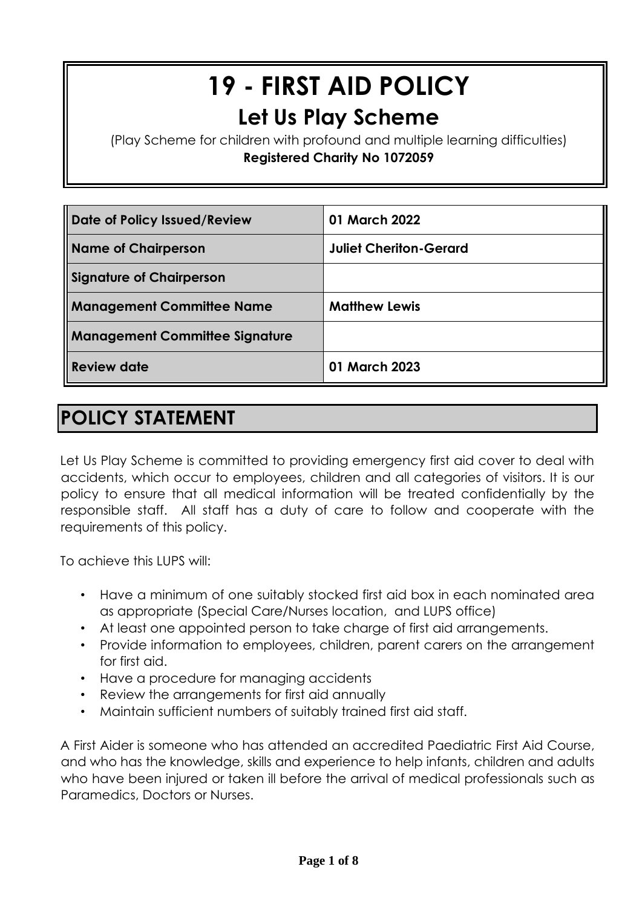# **19 - FIRST AID POLICY Let Us Play Scheme**

(Play Scheme for children with profound and multiple learning difficulties) **Registered Charity No 1072059**

| Date of Policy Issued/Review          | 01 March 2022                 |
|---------------------------------------|-------------------------------|
| <b>Name of Chairperson</b>            | <b>Juliet Cheriton-Gerard</b> |
| <b>Signature of Chairperson</b>       |                               |
| <b>Management Committee Name</b>      | <b>Matthew Lewis</b>          |
| <b>Management Committee Signature</b> |                               |
| <b>Review date</b>                    | 01 March 2023                 |

# **POLICY STATEMENT**

Let Us Play Scheme is committed to providing emergency first aid cover to deal with accidents, which occur to employees, children and all categories of visitors. It is our policy to ensure that all medical information will be treated confidentially by the responsible staff. All staff has a duty of care to follow and cooperate with the requirements of this policy.

To achieve this LUPS will:

- Have a minimum of one suitably stocked first aid box in each nominated area as appropriate (Special Care/Nurses location, and LUPS office)
- At least one appointed person to take charge of first aid arrangements.
- Provide information to employees, children, parent carers on the arrangement for first aid.
- Have a procedure for managing accidents
- Review the arrangements for first aid annually
- Maintain sufficient numbers of suitably trained first aid staff.

A First Aider is someone who has attended an accredited Paediatric First Aid Course, and who has the knowledge, skills and experience to help infants, children and adults who have been injured or taken ill before the arrival of medical professionals such as Paramedics, Doctors or Nurses.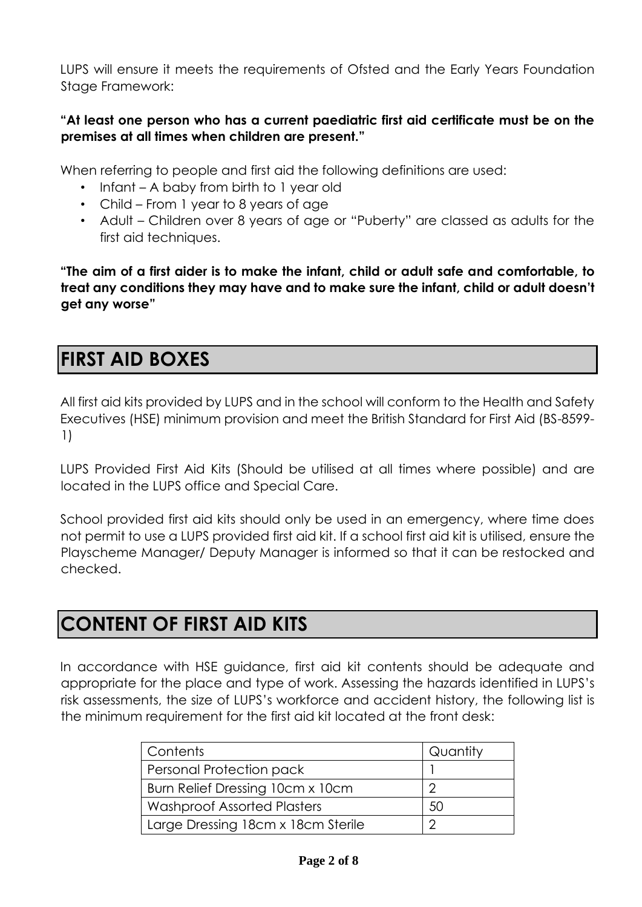LUPS will ensure it meets the requirements of Ofsted and the Early Years Foundation Stage Framework:

#### **"At least one person who has a current paediatric first aid certificate must be on the premises at all times when children are present."**

When referring to people and first aid the following definitions are used:

- Infant A baby from birth to 1 year old
- Child From 1 year to 8 years of age
- Adult Children over 8 years of age or "Puberty" are classed as adults for the first aid techniques.

**"The aim of a first aider is to make the infant, child or adult safe and comfortable, to treat any conditions they may have and to make sure the infant, child or adult doesn't get any worse"** 

### **FIRST AID BOXES**

All first aid kits provided by LUPS and in the school will conform to the Health and Safety Executives (HSE) minimum provision and meet the British Standard for First Aid (BS-8599- 1)

LUPS Provided First Aid Kits (Should be utilised at all times where possible) and are located in the LUPS office and Special Care.

School provided first aid kits should only be used in an emergency, where time does not permit to use a LUPS provided first aid kit. If a school first aid kit is utilised, ensure the Playscheme Manager/ Deputy Manager is informed so that it can be restocked and checked.

### **CONTENT OF FIRST AID KITS**

In accordance with HSE guidance, first aid kit contents should be adequate and appropriate for the place and type of work. Assessing the hazards identified in LUPS's risk assessments, the size of LUPS's workforce and accident history, the following list is the minimum requirement for the first aid kit located at the front desk:

| Contents                           | Quantity |
|------------------------------------|----------|
| Personal Protection pack           |          |
| Burn Relief Dressing 10cm x 10cm   | ◠        |
| <b>Washproof Assorted Plasters</b> | 50       |
| Large Dressing 18cm x 18cm Sterile |          |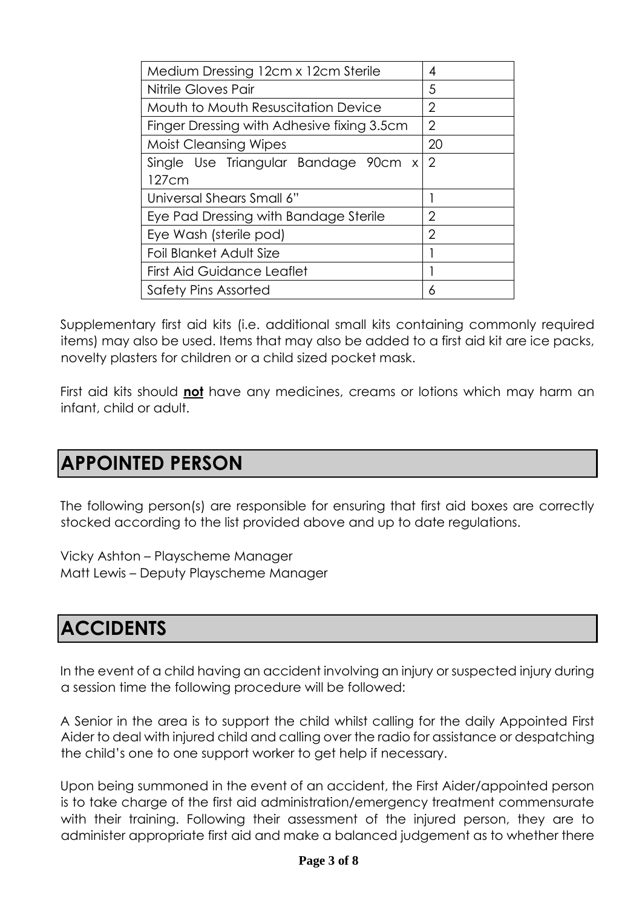| Medium Dressing 12cm x 12cm Sterile        | 4              |
|--------------------------------------------|----------------|
| Nitrile Gloves Pair                        | 5              |
| Mouth to Mouth Resuscitation Device        | 2              |
| Finger Dressing with Adhesive fixing 3.5cm | $\overline{2}$ |
| <b>Moist Cleansing Wipes</b>               | 20             |
| Single Use Triangular Bandage 90cm x       | $\sqrt{2}$     |
| 127cm                                      |                |
| Universal Shears Small 6"                  |                |
| Eye Pad Dressing with Bandage Sterile      | $\overline{2}$ |
| Eye Wash (sterile pod)                     | $\overline{2}$ |
| Foil Blanket Adult Size                    |                |
| <b>First Aid Guidance Leaflet</b>          |                |
| Safety Pins Assorted                       | 6              |

Supplementary first aid kits (i.e. additional small kits containing commonly required items) may also be used. Items that may also be added to a first aid kit are ice packs, novelty plasters for children or a child sized pocket mask.

First aid kits should **not** have any medicines, creams or lotions which may harm an infant, child or adult.

#### **APPOINTED PERSON**

The following person(s) are responsible for ensuring that first aid boxes are correctly stocked according to the list provided above and up to date regulations.

Vicky Ashton – Playscheme Manager Matt Lewis – Deputy Playscheme Manager

### **ACCIDENTS**

In the event of a child having an accident involving an injury or suspected injury during a session time the following procedure will be followed:

A Senior in the area is to support the child whilst calling for the daily Appointed First Aider to deal with injured child and calling over the radio for assistance or despatching the child's one to one support worker to get help if necessary.

Upon being summoned in the event of an accident, the First Aider/appointed person is to take charge of the first aid administration/emergency treatment commensurate with their training. Following their assessment of the injured person, they are to administer appropriate first aid and make a balanced judgement as to whether there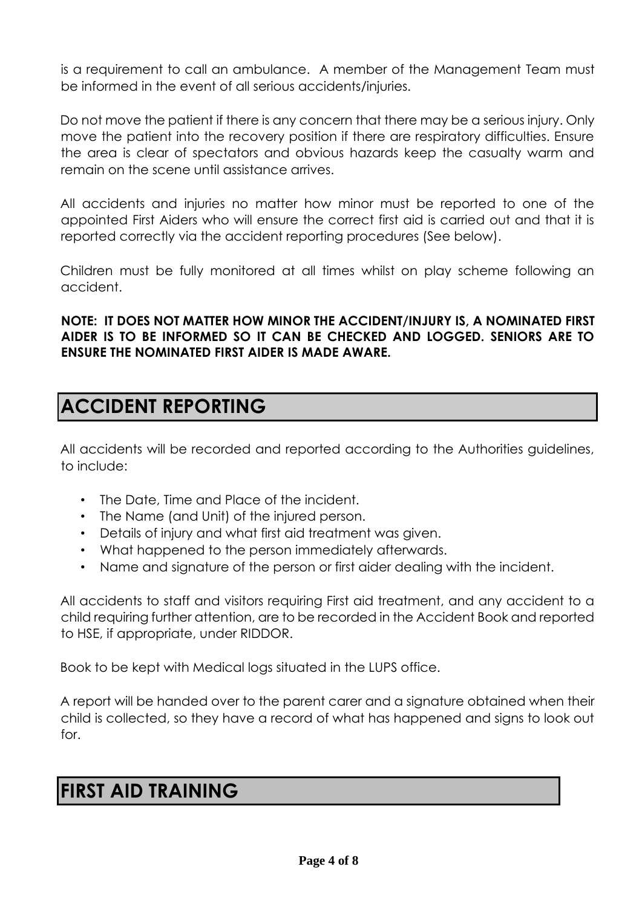is a requirement to call an ambulance. A member of the Management Team must be informed in the event of all serious accidents/injuries.

Do not move the patient if there is any concern that there may be a serious injury. Only move the patient into the recovery position if there are respiratory difficulties. Ensure the area is clear of spectators and obvious hazards keep the casualty warm and remain on the scene until assistance arrives.

All accidents and injuries no matter how minor must be reported to one of the appointed First Aiders who will ensure the correct first aid is carried out and that it is reported correctly via the accident reporting procedures (See below).

Children must be fully monitored at all times whilst on play scheme following an accident.

**NOTE: IT DOES NOT MATTER HOW MINOR THE ACCIDENT/INJURY IS, A NOMINATED FIRST AIDER IS TO BE INFORMED SO IT CAN BE CHECKED AND LOGGED. SENIORS ARE TO ENSURE THE NOMINATED FIRST AIDER IS MADE AWARE.** 

### **ACCIDENT REPORTING**

All accidents will be recorded and reported according to the Authorities guidelines, to include:

- The Date, Time and Place of the incident.
- The Name (and Unit) of the injured person.
- Details of injury and what first aid treatment was given.
- What happened to the person immediately afterwards.
- Name and signature of the person or first aider dealing with the incident.

All accidents to staff and visitors requiring First aid treatment, and any accident to a child requiring further attention, are to be recorded in the Accident Book and reported to HSE, if appropriate, under RIDDOR.

Book to be kept with Medical logs situated in the LUPS office.

A report will be handed over to the parent carer and a signature obtained when their child is collected, so they have a record of what has happened and signs to look out for.

### **FIRST AID TRAINING**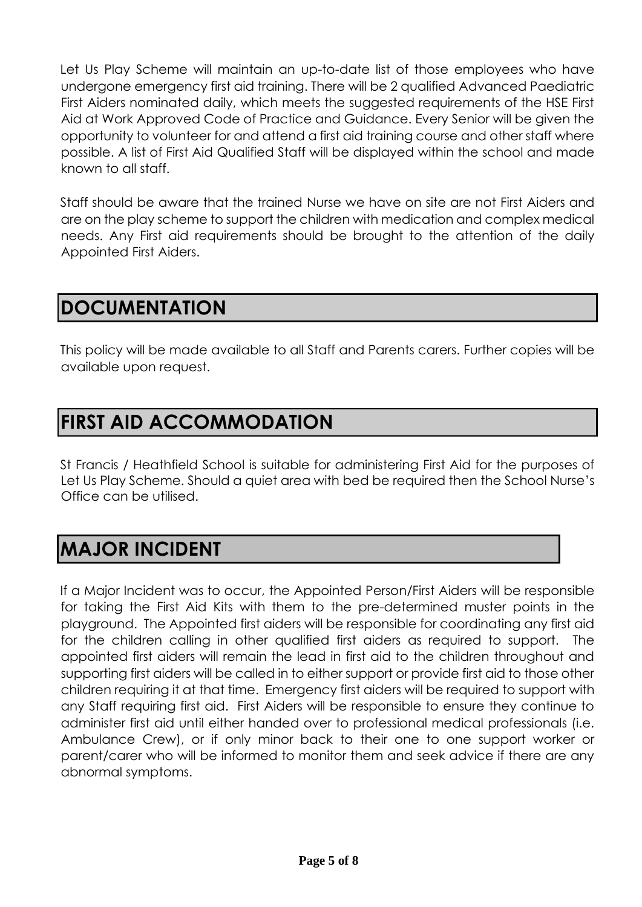Let Us Play Scheme will maintain an up-to-date list of those employees who have undergone emergency first aid training. There will be 2 qualified Advanced Paediatric First Aiders nominated daily, which meets the suggested requirements of the HSE First Aid at Work Approved Code of Practice and Guidance. Every Senior will be given the opportunity to volunteer for and attend a first aid training course and other staff where possible. A list of First Aid Qualified Staff will be displayed within the school and made known to all staff.

Staff should be aware that the trained Nurse we have on site are not First Aiders and are on the play scheme to support the children with medication and complex medical needs. Any First aid requirements should be brought to the attention of the daily Appointed First Aiders.

### **DOCUMENTATION**

This policy will be made available to all Staff and Parents carers. Further copies will be available upon request.

# **FIRST AID ACCOMMODATION**

St Francis / Heathfield School is suitable for administering First Aid for the purposes of Let Us Play Scheme. Should a quiet area with bed be required then the School Nurse's Office can be utilised.

### **MAJOR INCIDENT**

If a Major Incident was to occur, the Appointed Person/First Aiders will be responsible for taking the First Aid Kits with them to the pre-determined muster points in the playground. The Appointed first aiders will be responsible for coordinating any first aid for the children calling in other qualified first aiders as required to support. The appointed first aiders will remain the lead in first aid to the children throughout and supporting first aiders will be called in to either support or provide first aid to those other children requiring it at that time. Emergency first aiders will be required to support with any Staff requiring first aid. First Aiders will be responsible to ensure they continue to administer first aid until either handed over to professional medical professionals (i.e. Ambulance Crew), or if only minor back to their one to one support worker or parent/carer who will be informed to monitor them and seek advice if there are any abnormal symptoms.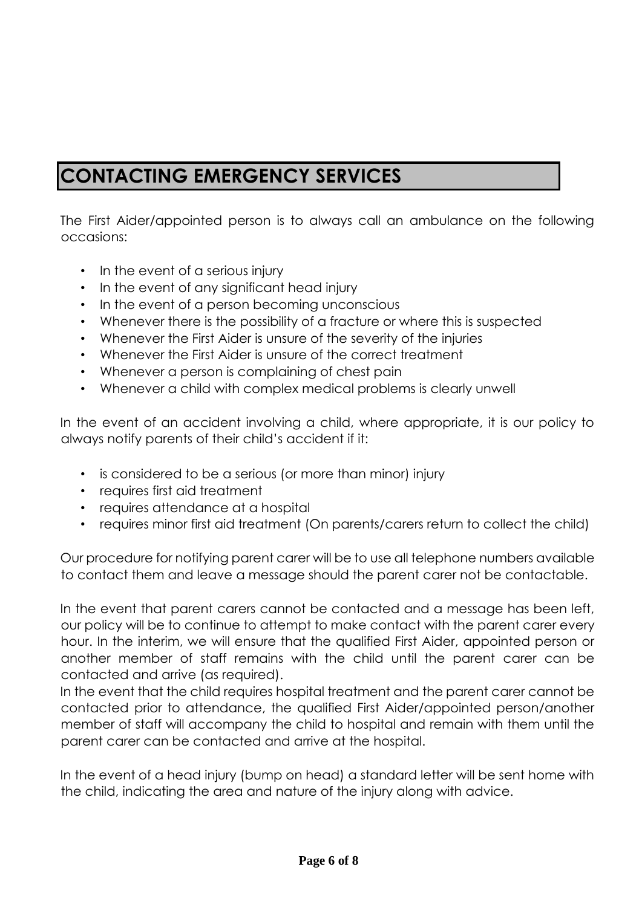# **CONTACTING EMERGENCY SERVICES**

The First Aider/appointed person is to always call an ambulance on the following occasions:

- In the event of a serious injury
- In the event of any significant head injury
- In the event of a person becoming unconscious
- Whenever there is the possibility of a fracture or where this is suspected
- Whenever the First Aider is unsure of the severity of the injuries
- Whenever the First Aider is unsure of the correct treatment
- Whenever a person is complaining of chest pain
- Whenever a child with complex medical problems is clearly unwell

In the event of an accident involving a child, where appropriate, it is our policy to always notify parents of their child's accident if it:

- is considered to be a serious (or more than minor) injury
- requires first aid treatment
- requires attendance at a hospital
- requires minor first aid treatment (On parents/carers return to collect the child)

Our procedure for notifying parent carer will be to use all telephone numbers available to contact them and leave a message should the parent carer not be contactable.

In the event that parent carers cannot be contacted and a message has been left, our policy will be to continue to attempt to make contact with the parent carer every hour. In the interim, we will ensure that the qualified First Aider, appointed person or another member of staff remains with the child until the parent carer can be contacted and arrive (as required).

In the event that the child requires hospital treatment and the parent carer cannot be contacted prior to attendance, the qualified First Aider/appointed person/another member of staff will accompany the child to hospital and remain with them until the parent carer can be contacted and arrive at the hospital.

In the event of a head injury (bump on head) a standard letter will be sent home with the child, indicating the area and nature of the injury along with advice.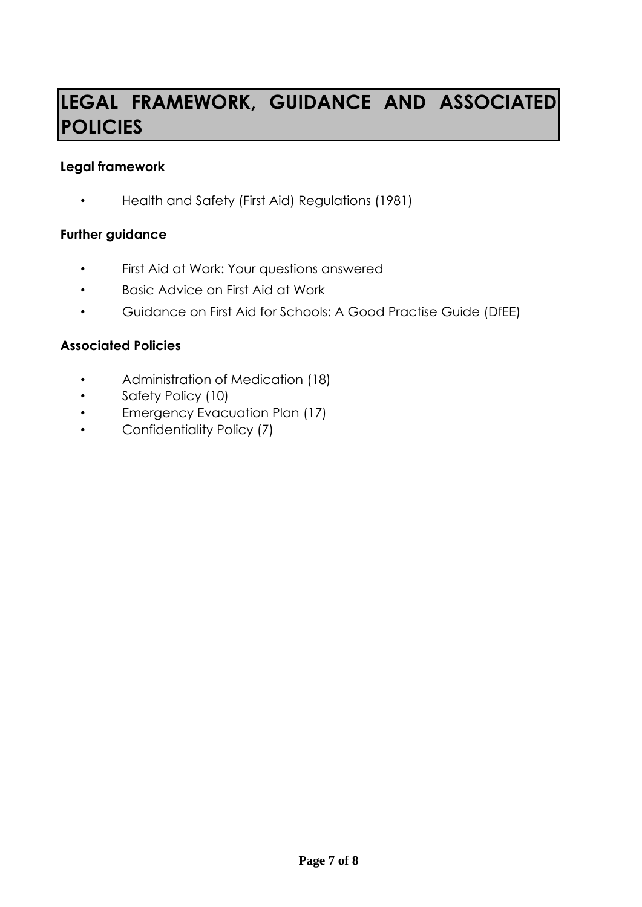# **LEGAL FRAMEWORK, GUIDANCE AND ASSOCIATED POLICIES**

#### **Legal framework**

• Health and Safety (First Aid) Regulations (1981)

#### **Further guidance**

- First Aid at Work: Your questions answered
- Basic Advice on First Aid at Work
- Guidance on First Aid for Schools: A Good Practise Guide (DfEE)

#### **Associated Policies**

- Administration of Medication (18)
- Safety Policy (10)
- Emergency Evacuation Plan (17)
- Confidentiality Policy (7)